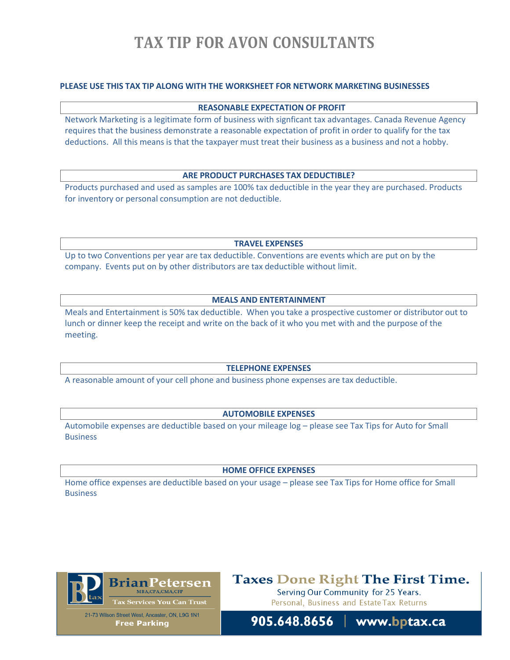# **TAX TIP FOR AVON CONSULTANTS**

## **PLEASE USE THIS TAX TIP ALONG WITH THE WORKSHEET FOR NETWORK MARKETING BUSINESSES**

#### **REASONABLE EXPECTATION OF PROFIT**

Network Marketing is a legitimate form of business with signficant tax advantages. Canada Revenue Agency requires that the business demonstrate a reasonable expectation of profit in order to qualify for the tax deductions. All this means is that the taxpayer must treat their business as a business and not a hobby.

#### **ARE PRODUCT PURCHASES TAX DEDUCTIBLE?**

Products purchased and used as samples are 100% tax deductible in the year they are purchased. Products for inventory or personal consumption are not deductible.

**TRAVEL EXPENSES**

Up to two Conventions per year are tax deductible. Conventions are events which are put on by the company. Events put on by other distributors are tax deductible without limit.

### **MEALS AND ENTERTAINMENT**

Meals and Entertainment is 50% tax deductible. When you take a prospective customer or distributor out to lunch or dinner keep the receipt and write on the back of it who you met with and the purpose of the meeting.

#### **TELEPHONE EXPENSES**

A reasonable amount of your cell phone and business phone expenses are tax deductible.

### **AUTOMOBILE EXPENSES**

Automobile expenses are deductible based on your mileage log – please see Tax Tips for Auto for Small **Business** 

#### **HOME OFFICE EXPENSES**

Home office expenses are deductible based on your usage – please see Tax Tips for Home office for Small Business



**Taxes Done Right The First Time.** Serving Our Community for 25 Years.

Personal, Business and Estate Tax Returns

21-73 Wilson Street West, Ancaster, ON, L9G 1N1 **Free Parking**